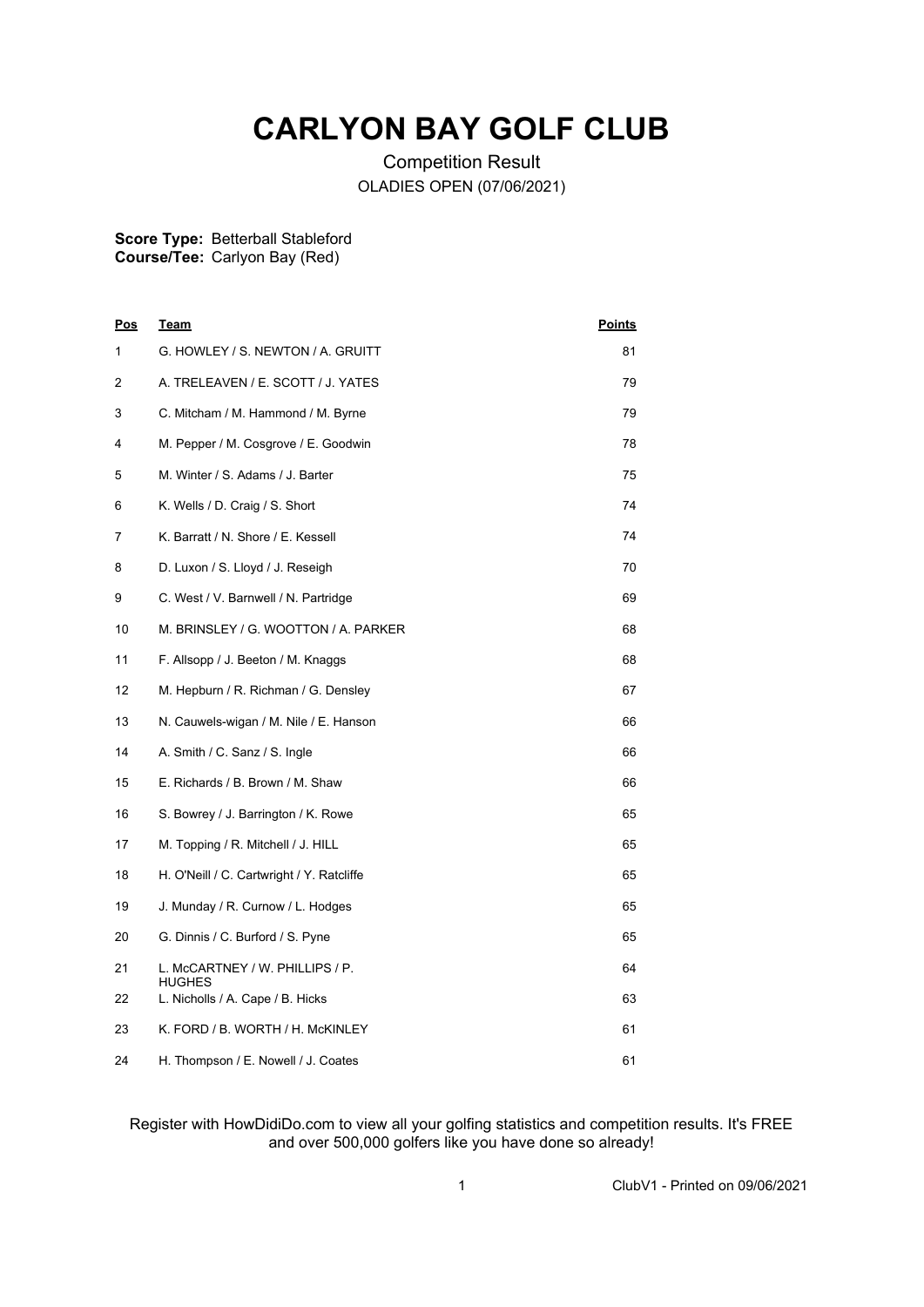## **CARLYON BAY GOLF CLUB**

Competition Result OLADIES OPEN (07/06/2021)

## **Score Type:** Betterball Stableford

**Course/Tee:** Carlyon Bay (Red)

| <u>Pos</u> | <u>Team</u>                                      | <u>Points</u> |
|------------|--------------------------------------------------|---------------|
| 1          | G. HOWLEY / S. NEWTON / A. GRUITT                | 81            |
| 2          | A. TRELEAVEN / E. SCOTT / J. YATES               | 79            |
| 3          | C. Mitcham / M. Hammond / M. Byrne               | 79            |
| 4          | M. Pepper / M. Cosgrove / E. Goodwin             | 78            |
| 5          | M. Winter / S. Adams / J. Barter                 | 75            |
| 6          | K. Wells / D. Craig / S. Short                   | 74            |
| 7          | K. Barratt / N. Shore / E. Kessell               | 74            |
| 8          | D. Luxon / S. Lloyd / J. Reseigh                 | 70            |
| 9          | C. West / V. Barnwell / N. Partridge             | 69            |
| 10         | M. BRINSLEY / G. WOOTTON / A. PARKER             | 68            |
| 11         | F. Allsopp / J. Beeton / M. Knaggs               | 68            |
| 12         | M. Hepburn / R. Richman / G. Densley             | 67            |
| 13         | N. Cauwels-wigan / M. Nile / E. Hanson           | 66            |
| 14         | A. Smith / C. Sanz / S. Ingle                    | 66            |
| 15         | E. Richards / B. Brown / M. Shaw                 | 66            |
| 16         | S. Bowrey / J. Barrington / K. Rowe              | 65            |
| 17         | M. Topping / R. Mitchell / J. HILL               | 65            |
| 18         | H. O'Neill / C. Cartwright / Y. Ratcliffe        | 65            |
| 19         | J. Munday / R. Curnow / L. Hodges                | 65            |
| 20         | G. Dinnis / C. Burford / S. Pyne                 | 65            |
| 21         | L. McCARTNEY / W. PHILLIPS / P.<br><b>HUGHES</b> | 64            |
| 22         | L. Nicholls / A. Cape / B. Hicks                 | 63            |
| 23         | K. FORD / B. WORTH / H. McKINLEY                 | 61            |
| 24         | H. Thompson / E. Nowell / J. Coates              | 61            |

## Register with HowDidiDo.com to view all your golfing statistics and competition results. It's FREE and over 500,000 golfers like you have done so already!